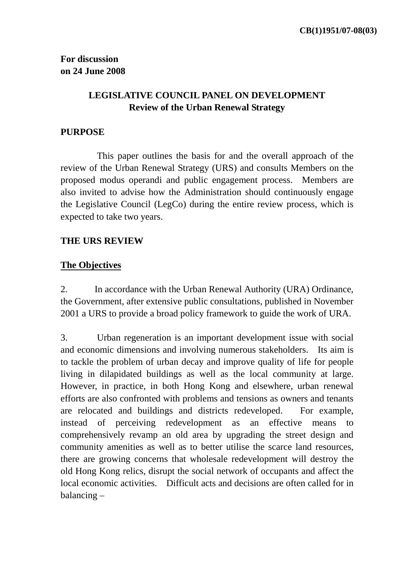### **LEGISLATIVE COUNCIL PANEL ON DEVELOPMENT Review of the Urban Renewal Strategy**

#### **PURPOSE**

 This paper outlines the basis for and the overall approach of the review of the Urban Renewal Strategy (URS) and consults Members on the proposed modus operandi and public engagement process. Members are also invited to advise how the Administration should continuously engage the Legislative Council (LegCo) during the entire review process, which is expected to take two years.

#### **THE URS REVIEW**

### **The Objectives**

2. In accordance with the Urban Renewal Authority (URA) Ordinance, the Government, after extensive public consultations, published in November 2001 a URS to provide a broad policy framework to guide the work of URA.

3. Urban regeneration is an important development issue with social and economic dimensions and involving numerous stakeholders. Its aim is to tackle the problem of urban decay and improve quality of life for people living in dilapidated buildings as well as the local community at large. However, in practice, in both Hong Kong and elsewhere, urban renewal efforts are also confronted with problems and tensions as owners and tenants are relocated and buildings and districts redeveloped. For example, instead of perceiving redevelopment as an effective means to comprehensively revamp an old area by upgrading the street design and community amenities as well as to better utilise the scarce land resources, there are growing concerns that wholesale redevelopment will destroy the old Hong Kong relics, disrupt the social network of occupants and affect the local economic activities. Difficult acts and decisions are often called for in balancing –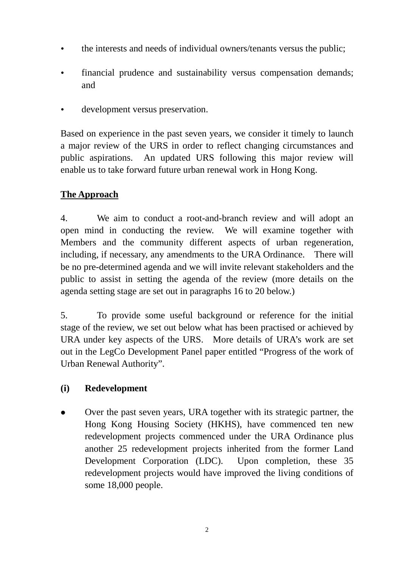- the interests and needs of individual owners/tenants versus the public:
- $\cdot$  financial prudence and sustainability versus compensation demands; and
- development versus preservation.

Based on experience in the past seven years, we consider it timely to launch a major review of the URS in order to reflect changing circumstances and public aspirations. An updated URS following this major review will enable us to take forward future urban renewal work in Hong Kong.

# **The Approach**

4. We aim to conduct a root-and-branch review and will adopt an open mind in conducting the review. We will examine together with Members and the community different aspects of urban regeneration, including, if necessary, any amendments to the URA Ordinance. There will be no pre-determined agenda and we will invite relevant stakeholders and the public to assist in setting the agenda of the review (more details on the agenda setting stage are set out in paragraphs 16 to 20 below.)

5. To provide some useful background or reference for the initial stage of the review, we set out below what has been practised or achieved by URA under key aspects of the URS. More details of URA's work are set out in the LegCo Development Panel paper entitled "Progress of the work of Urban Renewal Authority".

## **(i) Redevelopment**

• Over the past seven years, URA together with its strategic partner, the Hong Kong Housing Society (HKHS), have commenced ten new redevelopment projects commenced under the URA Ordinance plus another 25 redevelopment projects inherited from the former Land Development Corporation (LDC). Upon completion, these 35 redevelopment projects would have improved the living conditions of some 18,000 people.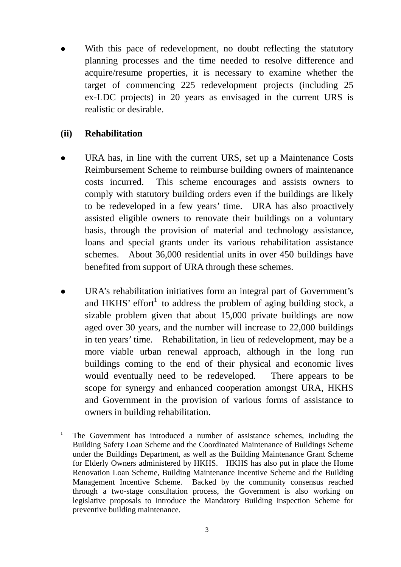With this pace of redevelopment, no doubt reflecting the statutory planning processes and the time needed to resolve difference and acquire/resume properties, it is necessary to examine whether the target of commencing 225 redevelopment projects (including 25 ex-LDC projects) in 20 years as envisaged in the current URS is realistic or desirable.

#### **(ii) Rehabilitation**

 $\overline{a}$ 

- URA has, in line with the current URS, set up a Maintenance Costs Reimbursement Scheme to reimburse building owners of maintenance costs incurred. This scheme encourages and assists owners to comply with statutory building orders even if the buildings are likely to be redeveloped in a few years' time. URA has also proactively assisted eligible owners to renovate their buildings on a voluntary basis, through the provision of material and technology assistance, loans and special grants under its various rehabilitation assistance schemes. About 36,000 residential units in over 450 buildings have benefited from support of URA through these schemes.
- URA's rehabilitation initiatives form an integral part of Government's and HKHS' effort<sup>1</sup> to address the problem of aging building stock, a sizable problem given that about 15,000 private buildings are now aged over 30 years, and the number will increase to 22,000 buildings in ten years' time. Rehabilitation, in lieu of redevelopment, may be a more viable urban renewal approach, although in the long run buildings coming to the end of their physical and economic lives would eventually need to be redeveloped. There appears to be scope for synergy and enhanced cooperation amongst URA, HKHS and Government in the provision of various forms of assistance to owners in building rehabilitation.

<sup>&</sup>lt;sup>1</sup> The Government has introduced a number of assistance schemes, including the Building Safety Loan Scheme and the Coordinated Maintenance of Buildings Scheme under the Buildings Department, as well as the Building Maintenance Grant Scheme for Elderly Owners administered by HKHS. HKHS has also put in place the Home Renovation Loan Scheme, Building Maintenance Incentive Scheme and the Building Management Incentive Scheme. Backed by the community consensus reached through a two-stage consultation process, the Government is also working on legislative proposals to introduce the Mandatory Building Inspection Scheme for preventive building maintenance.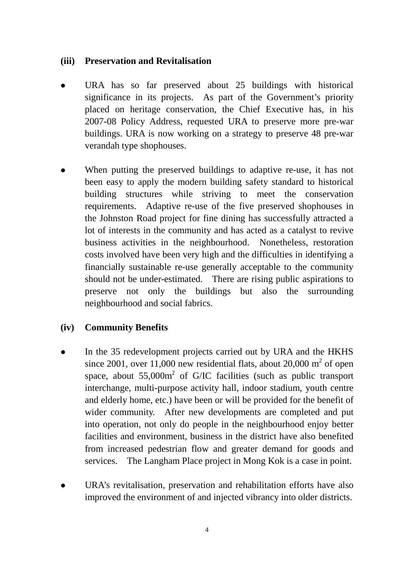#### **(iii) Preservation and Revitalisation**

- URA has so far preserved about 25 buildings with historical significance in its projects. As part of the Government's priority placed on heritage conservation, the Chief Executive has, in his 2007-08 Policy Address, requested URA to preserve more pre-war buildings. URA is now working on a strategy to preserve 48 pre-war verandah type shophouses.
- When putting the preserved buildings to adaptive re-use, it has not been easy to apply the modern building safety standard to historical building structures while striving to meet the conservation requirements. Adaptive re-use of the five preserved shophouses in the Johnston Road project for fine dining has successfully attracted a lot of interests in the community and has acted as a catalyst to revive business activities in the neighbourhood. Nonetheless, restoration costs involved have been very high and the difficulties in identifying a financially sustainable re-use generally acceptable to the community should not be under-estimated. There are rising public aspirations to preserve not only the buildings but also the surrounding neighbourhood and social fabrics.

#### **(iv) Community Benefits**

- In the 35 redevelopment projects carried out by URA and the HKHS since 2001, over 11,000 new residential flats, about 20,000  $m<sup>2</sup>$  of open space, about  $55,000m^2$  of G/IC facilities (such as public transport interchange, multi-purpose activity hall, indoor stadium, youth centre and elderly home, etc.) have been or will be provided for the benefit of wider community. After new developments are completed and put into operation, not only do people in the neighbourhood enjoy better facilities and environment, business in the district have also benefited from increased pedestrian flow and greater demand for goods and services. The Langham Place project in Mong Kok is a case in point.
- URA's revitalisation, preservation and rehabilitation efforts have also improved the environment of and injected vibrancy into older districts.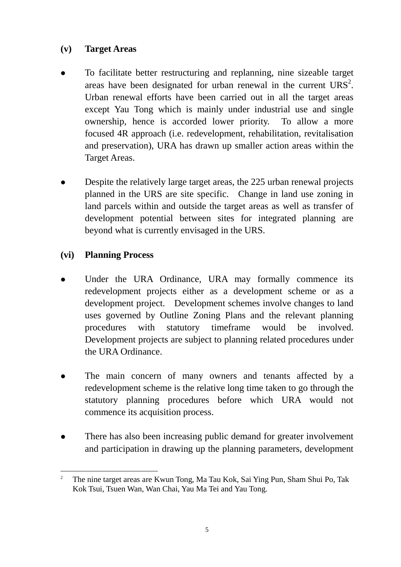### **(v) Target Areas**

- To facilitate better restructuring and replanning, nine sizeable target areas have been designated for urban renewal in the current  $URS<sup>2</sup>$ . Urban renewal efforts have been carried out in all the target areas except Yau Tong which is mainly under industrial use and single ownership, hence is accorded lower priority. To allow a more focused 4R approach (i.e. redevelopment, rehabilitation, revitalisation and preservation), URA has drawn up smaller action areas within the Target Areas.
- Despite the relatively large target areas, the 225 urban renewal projects planned in the URS are site specific. Change in land use zoning in land parcels within and outside the target areas as well as transfer of development potential between sites for integrated planning are beyond what is currently envisaged in the URS.

## **(vi) Planning Process**

- Under the URA Ordinance, URA may formally commence its redevelopment projects either as a development scheme or as a development project. Development schemes involve changes to land uses governed by Outline Zoning Plans and the relevant planning procedures with statutory timeframe would be involved. Development projects are subject to planning related procedures under the URA Ordinance.
- The main concern of many owners and tenants affected by a redevelopment scheme is the relative long time taken to go through the statutory planning procedures before which URA would not commence its acquisition process.
- There has also been increasing public demand for greater involvement and participation in drawing up the planning parameters, development

 $\overline{a}$ 2 The nine target areas are Kwun Tong, Ma Tau Kok, Sai Ying Pun, Sham Shui Po, Tak Kok Tsui, Tsuen Wan, Wan Chai, Yau Ma Tei and Yau Tong.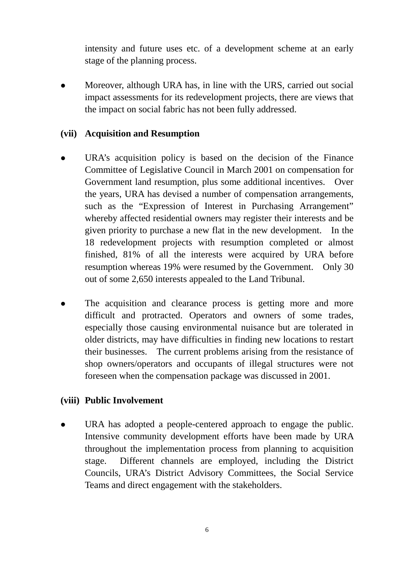intensity and future uses etc. of a development scheme at an early stage of the planning process.

Moreover, although URA has, in line with the URS, carried out social impact assessments for its redevelopment projects, there are views that the impact on social fabric has not been fully addressed.

#### **(vii) Acquisition and Resumption**

- URA's acquisition policy is based on the decision of the Finance Committee of Legislative Council in March 2001 on compensation for Government land resumption, plus some additional incentives. Over the years, URA has devised a number of compensation arrangements, such as the "Expression of Interest in Purchasing Arrangement" whereby affected residential owners may register their interests and be given priority to purchase a new flat in the new development. In the 18 redevelopment projects with resumption completed or almost finished, 81% of all the interests were acquired by URA before resumption whereas 19% were resumed by the Government. Only 30 out of some 2,650 interests appealed to the Land Tribunal.
- The acquisition and clearance process is getting more and more difficult and protracted. Operators and owners of some trades, especially those causing environmental nuisance but are tolerated in older districts, may have difficulties in finding new locations to restart their businesses. The current problems arising from the resistance of shop owners/operators and occupants of illegal structures were not foreseen when the compensation package was discussed in 2001.

#### **(viii) Public Involvement**

URA has adopted a people-centered approach to engage the public. Intensive community development efforts have been made by URA throughout the implementation process from planning to acquisition stage. Different channels are employed, including the District Councils, URA's District Advisory Committees, the Social Service Teams and direct engagement with the stakeholders.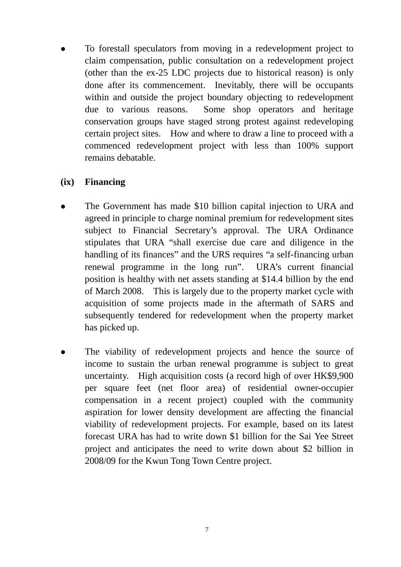To forestall speculators from moving in a redevelopment project to claim compensation, public consultation on a redevelopment project (other than the ex-25 LDC projects due to historical reason) is only done after its commencement. Inevitably, there will be occupants within and outside the project boundary objecting to redevelopment due to various reasons. Some shop operators and heritage conservation groups have staged strong protest against redeveloping certain project sites. How and where to draw a line to proceed with a commenced redevelopment project with less than 100% support remains debatable.

#### **(ix) Financing**

- The Government has made \$10 billion capital injection to URA and agreed in principle to charge nominal premium for redevelopment sites subject to Financial Secretary's approval. The URA Ordinance stipulates that URA "shall exercise due care and diligence in the handling of its finances" and the URS requires "a self-financing urban renewal programme in the long run". URA's current financial position is healthy with net assets standing at \$14.4 billion by the end of March 2008. This is largely due to the property market cycle with acquisition of some projects made in the aftermath of SARS and subsequently tendered for redevelopment when the property market has picked up.
- The viability of redevelopment projects and hence the source of income to sustain the urban renewal programme is subject to great uncertainty. High acquisition costs (a record high of over HK\$9,900 per square feet (net floor area) of residential owner-occupier compensation in a recent project) coupled with the community aspiration for lower density development are affecting the financial viability of redevelopment projects. For example, based on its latest forecast URA has had to write down \$1 billion for the Sai Yee Street project and anticipates the need to write down about \$2 billion in 2008/09 for the Kwun Tong Town Centre project.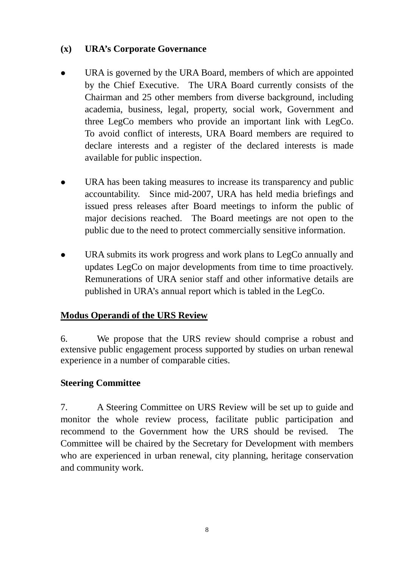## **(x) URA's Corporate Governance**

- URA is governed by the URA Board, members of which are appointed by the Chief Executive. The URA Board currently consists of the Chairman and 25 other members from diverse background, including academia, business, legal, property, social work, Government and three LegCo members who provide an important link with LegCo. To avoid conflict of interests, URA Board members are required to declare interests and a register of the declared interests is made available for public inspection.
- URA has been taking measures to increase its transparency and public accountability. Since mid-2007, URA has held media briefings and issued press releases after Board meetings to inform the public of major decisions reached. The Board meetings are not open to the public due to the need to protect commercially sensitive information.
- URA submits its work progress and work plans to LegCo annually and updates LegCo on major developments from time to time proactively. Remunerations of URA senior staff and other informative details are published in URA's annual report which is tabled in the LegCo.

## **Modus Operandi of the URS Review**

6. We propose that the URS review should comprise a robust and extensive public engagement process supported by studies on urban renewal experience in a number of comparable cities.

## **Steering Committee**

7. A Steering Committee on URS Review will be set up to guide and monitor the whole review process, facilitate public participation and recommend to the Government how the URS should be revised. The Committee will be chaired by the Secretary for Development with members who are experienced in urban renewal, city planning, heritage conservation and community work.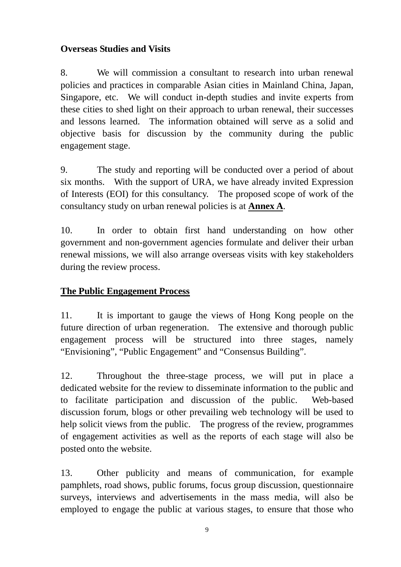## **Overseas Studies and Visits**

8. We will commission a consultant to research into urban renewal policies and practices in comparable Asian cities in Mainland China, Japan, Singapore, etc. We will conduct in-depth studies and invite experts from these cities to shed light on their approach to urban renewal, their successes and lessons learned. The information obtained will serve as a solid and objective basis for discussion by the community during the public engagement stage.

9. The study and reporting will be conducted over a period of about six months. With the support of URA, we have already invited Expression of Interests (EOI) for this consultancy. The proposed scope of work of the consultancy study on urban renewal policies is at **Annex A**.

10. In order to obtain first hand understanding on how other government and non-government agencies formulate and deliver their urban renewal missions, we will also arrange overseas visits with key stakeholders during the review process.

### **The Public Engagement Process**

11. It is important to gauge the views of Hong Kong people on the future direction of urban regeneration. The extensive and thorough public engagement process will be structured into three stages, namely "Envisioning", "Public Engagement" and "Consensus Building".

12. Throughout the three-stage process, we will put in place a dedicated website for the review to disseminate information to the public and to facilitate participation and discussion of the public. Web-based discussion forum, blogs or other prevailing web technology will be used to help solicit views from the public. The progress of the review, programmes of engagement activities as well as the reports of each stage will also be posted onto the website.

13. Other publicity and means of communication, for example pamphlets, road shows, public forums, focus group discussion, questionnaire surveys, interviews and advertisements in the mass media, will also be employed to engage the public at various stages, to ensure that those who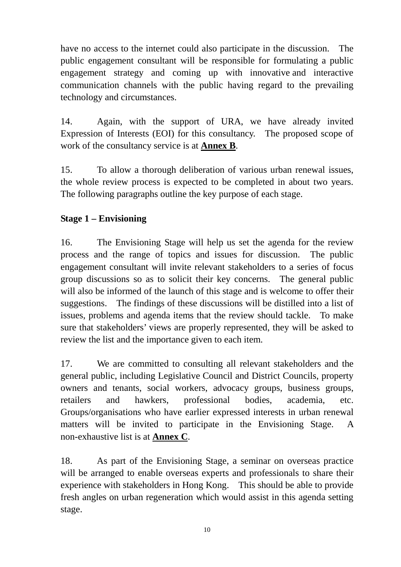have no access to the internet could also participate in the discussion. The public engagement consultant will be responsible for formulating a public engagement strategy and coming up with innovative and interactive communication channels with the public having regard to the prevailing technology and circumstances.

14. Again, with the support of URA, we have already invited Expression of Interests (EOI) for this consultancy. The proposed scope of work of the consultancy service is at **Annex B**.

15. To allow a thorough deliberation of various urban renewal issues, the whole review process is expected to be completed in about two years. The following paragraphs outline the key purpose of each stage.

## **Stage 1 – Envisioning**

16. The Envisioning Stage will help us set the agenda for the review process and the range of topics and issues for discussion. The public engagement consultant will invite relevant stakeholders to a series of focus group discussions so as to solicit their key concerns. The general public will also be informed of the launch of this stage and is welcome to offer their suggestions. The findings of these discussions will be distilled into a list of issues, problems and agenda items that the review should tackle. To make sure that stakeholders' views are properly represented, they will be asked to review the list and the importance given to each item.

17. We are committed to consulting all relevant stakeholders and the general public, including Legislative Council and District Councils, property owners and tenants, social workers, advocacy groups, business groups, retailers and hawkers, professional bodies, academia, etc. Groups/organisations who have earlier expressed interests in urban renewal matters will be invited to participate in the Envisioning Stage. A non-exhaustive list is at **Annex C**.

18. As part of the Envisioning Stage, a seminar on overseas practice will be arranged to enable overseas experts and professionals to share their experience with stakeholders in Hong Kong. This should be able to provide fresh angles on urban regeneration which would assist in this agenda setting stage.

10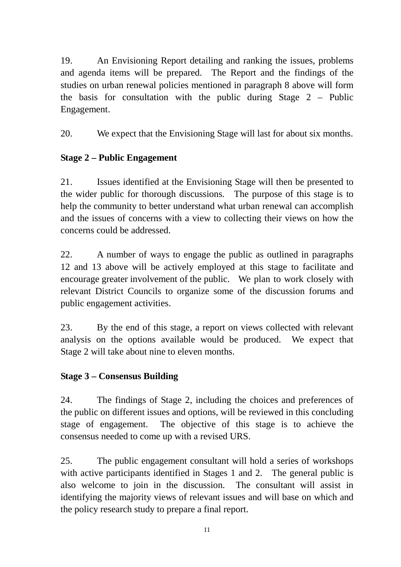19. An Envisioning Report detailing and ranking the issues, problems and agenda items will be prepared. The Report and the findings of the studies on urban renewal policies mentioned in paragraph 8 above will form the basis for consultation with the public during Stage 2 – Public Engagement.

20. We expect that the Envisioning Stage will last for about six months.

## **Stage 2 – Public Engagement**

21. Issues identified at the Envisioning Stage will then be presented to the wider public for thorough discussions. The purpose of this stage is to help the community to better understand what urban renewal can accomplish and the issues of concerns with a view to collecting their views on how the concerns could be addressed.

22. A number of ways to engage the public as outlined in paragraphs 12 and 13 above will be actively employed at this stage to facilitate and encourage greater involvement of the public. We plan to work closely with relevant District Councils to organize some of the discussion forums and public engagement activities.

23. By the end of this stage, a report on views collected with relevant analysis on the options available would be produced. We expect that Stage 2 will take about nine to eleven months.

### **Stage 3 – Consensus Building**

24. The findings of Stage 2, including the choices and preferences of the public on different issues and options, will be reviewed in this concluding stage of engagement. The objective of this stage is to achieve the consensus needed to come up with a revised URS.

25. The public engagement consultant will hold a series of workshops with active participants identified in Stages 1 and 2. The general public is also welcome to join in the discussion. The consultant will assist in identifying the majority views of relevant issues and will base on which and the policy research study to prepare a final report.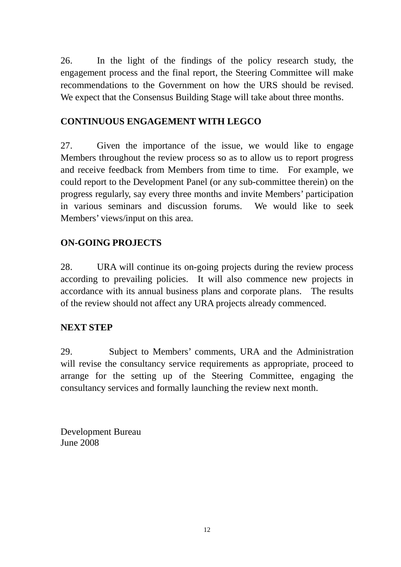26. In the light of the findings of the policy research study, the engagement process and the final report, the Steering Committee will make recommendations to the Government on how the URS should be revised. We expect that the Consensus Building Stage will take about three months.

## **CONTINUOUS ENGAGEMENT WITH LEGCO**

27. Given the importance of the issue, we would like to engage Members throughout the review process so as to allow us to report progress and receive feedback from Members from time to time. For example, we could report to the Development Panel (or any sub-committee therein) on the progress regularly, say every three months and invite Members' participation in various seminars and discussion forums. We would like to seek Members' views/input on this area.

### **ON-GOING PROJECTS**

28. URA will continue its on-going projects during the review process according to prevailing policies. It will also commence new projects in accordance with its annual business plans and corporate plans. The results of the review should not affect any URA projects already commenced.

### **NEXT STEP**

29. Subject to Members' comments, URA and the Administration will revise the consultancy service requirements as appropriate, proceed to arrange for the setting up of the Steering Committee, engaging the consultancy services and formally launching the review next month.

Development Bureau June 2008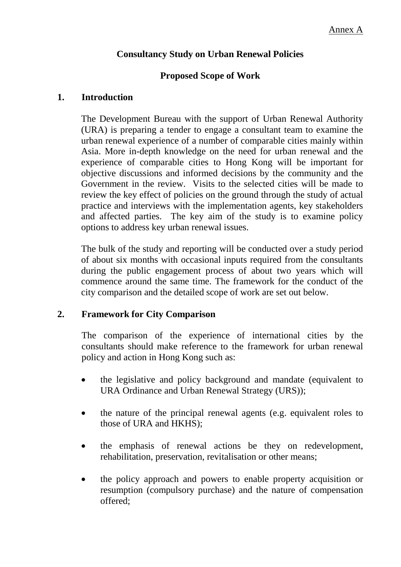## **Consultancy Study on Urban Renewal Policies**

### **Proposed Scope of Work**

#### **1. Introduction**

The Development Bureau with the support of Urban Renewal Authority (URA) is preparing a tender to engage a consultant team to examine the urban renewal experience of a number of comparable cities mainly within Asia. More in-depth knowledge on the need for urban renewal and the experience of comparable cities to Hong Kong will be important for objective discussions and informed decisions by the community and the Government in the review. Visits to the selected cities will be made to review the key effect of policies on the ground through the study of actual practice and interviews with the implementation agents, key stakeholders and affected parties. The key aim of the study is to examine policy options to address key urban renewal issues.

The bulk of the study and reporting will be conducted over a study period of about six months with occasional inputs required from the consultants during the public engagement process of about two years which will commence around the same time. The framework for the conduct of the city comparison and the detailed scope of work are set out below.

### **2. Framework for City Comparison**

The comparison of the experience of international cities by the consultants should make reference to the framework for urban renewal policy and action in Hong Kong such as:

- the legislative and policy background and mandate (equivalent to URA Ordinance and Urban Renewal Strategy (URS));
- the nature of the principal renewal agents (e.g. equivalent roles to those of URA and HKHS);
- the emphasis of renewal actions be they on redevelopment, rehabilitation, preservation, revitalisation or other means;
- the policy approach and powers to enable property acquisition or resumption (compulsory purchase) and the nature of compensation offered;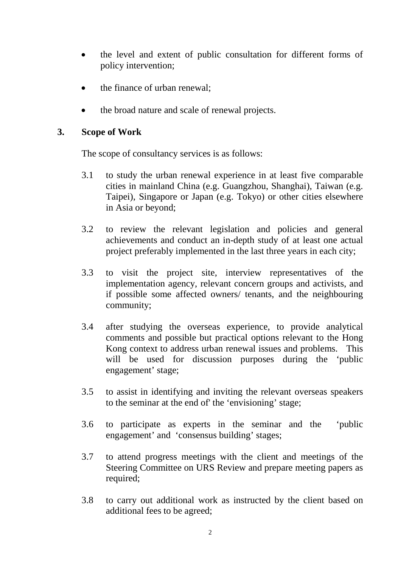- the level and extent of public consultation for different forms of policy intervention;
- the finance of urban renewal;
- the broad nature and scale of renewal projects.

#### **3. Scope of Work**

The scope of consultancy services is as follows:

- 3.1 to study the urban renewal experience in at least five comparable cities in mainland China (e.g. Guangzhou, Shanghai), Taiwan (e.g. Taipei), Singapore or Japan (e.g. Tokyo) or other cities elsewhere in Asia or beyond;
- 3.2 to review the relevant legislation and policies and general achievements and conduct an in-depth study of at least one actual project preferably implemented in the last three years in each city;
- 3.3 to visit the project site, interview representatives of the implementation agency, relevant concern groups and activists, and if possible some affected owners/ tenants, and the neighbouring community;
- 3.4 after studying the overseas experience, to provide analytical comments and possible but practical options relevant to the Hong Kong context to address urban renewal issues and problems. This will be used for discussion purposes during the 'public engagement' stage;
- 3.5 to assist in identifying and inviting the relevant overseas speakers to the seminar at the end of' the 'envisioning' stage;
- 3.6 to participate as experts in the seminar and the 'public engagement' and 'consensus building' stages;
- 3.7 to attend progress meetings with the client and meetings of the Steering Committee on URS Review and prepare meeting papers as required;
- 3.8 to carry out additional work as instructed by the client based on additional fees to be agreed;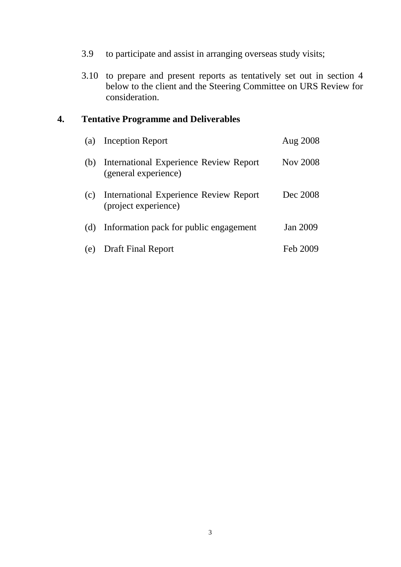- 3.9 to participate and assist in arranging overseas study visits;
- 3.10 to prepare and present reports as tentatively set out in section 4 below to the client and the Steering Committee on URS Review for consideration.

### **4. Tentative Programme and Deliverables**

| (a) | Inception Report                                               | Aug 2008        |
|-----|----------------------------------------------------------------|-----------------|
| (b) | International Experience Review Report<br>(general experience) | <b>Nov 2008</b> |
| (c) | International Experience Review Report<br>(project experience) | Dec 2008        |
| (d) | Information pack for public engagement                         | <b>Jan 2009</b> |
| (e) | <b>Draft Final Report</b>                                      | Feb 2009        |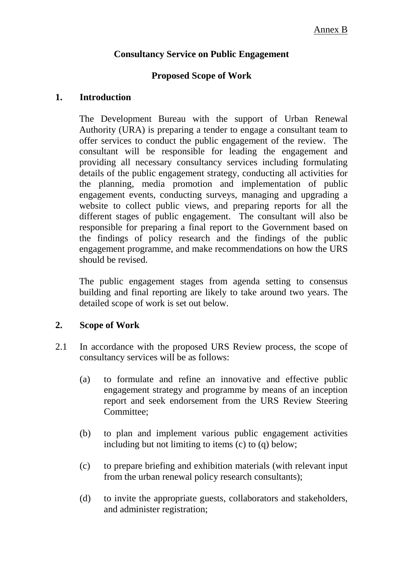#### **Consultancy Service on Public Engagement**

#### **Proposed Scope of Work**

#### **1. Introduction**

The Development Bureau with the support of Urban Renewal Authority (URA) is preparing a tender to engage a consultant team to offer services to conduct the public engagement of the review. The consultant will be responsible for leading the engagement and providing all necessary consultancy services including formulating details of the public engagement strategy, conducting all activities for the planning, media promotion and implementation of public engagement events, conducting surveys, managing and upgrading a website to collect public views, and preparing reports for all the different stages of public engagement. The consultant will also be responsible for preparing a final report to the Government based on the findings of policy research and the findings of the public engagement programme, and make recommendations on how the URS should be revised.

The public engagement stages from agenda setting to consensus building and final reporting are likely to take around two years. The detailed scope of work is set out below.

#### **2. Scope of Work**

- 2.1 In accordance with the proposed URS Review process, the scope of consultancy services will be as follows:
	- (a) to formulate and refine an innovative and effective public engagement strategy and programme by means of an inception report and seek endorsement from the URS Review Steering Committee;
	- (b) to plan and implement various public engagement activities including but not limiting to items (c) to (q) below;
	- (c) to prepare briefing and exhibition materials (with relevant input from the urban renewal policy research consultants);
	- (d) to invite the appropriate guests, collaborators and stakeholders, and administer registration;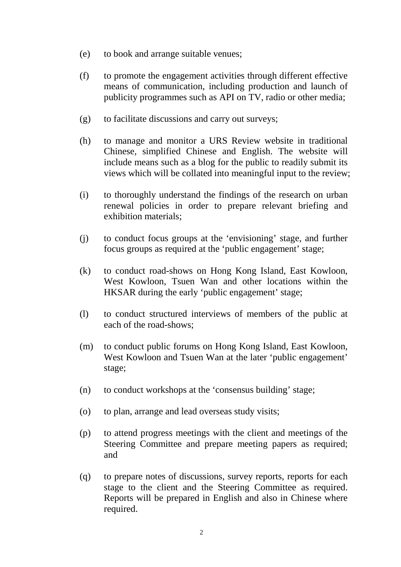- (e) to book and arrange suitable venues;
- (f) to promote the engagement activities through different effective means of communication, including production and launch of publicity programmes such as API on TV, radio or other media;
- (g) to facilitate discussions and carry out surveys;
- (h) to manage and monitor a URS Review website in traditional Chinese, simplified Chinese and English. The website will include means such as a blog for the public to readily submit its views which will be collated into meaningful input to the review;
- (i) to thoroughly understand the findings of the research on urban renewal policies in order to prepare relevant briefing and exhibition materials;
- (j) to conduct focus groups at the 'envisioning' stage, and further focus groups as required at the 'public engagement' stage;
- (k) to conduct road-shows on Hong Kong Island, East Kowloon, West Kowloon, Tsuen Wan and other locations within the HKSAR during the early 'public engagement' stage;
- (l) to conduct structured interviews of members of the public at each of the road-shows;
- (m) to conduct public forums on Hong Kong Island, East Kowloon, West Kowloon and Tsuen Wan at the later 'public engagement' stage;
- (n) to conduct workshops at the 'consensus building' stage;
- (o) to plan, arrange and lead overseas study visits;
- (p) to attend progress meetings with the client and meetings of the Steering Committee and prepare meeting papers as required; and
- (q) to prepare notes of discussions, survey reports, reports for each stage to the client and the Steering Committee as required. Reports will be prepared in English and also in Chinese where required.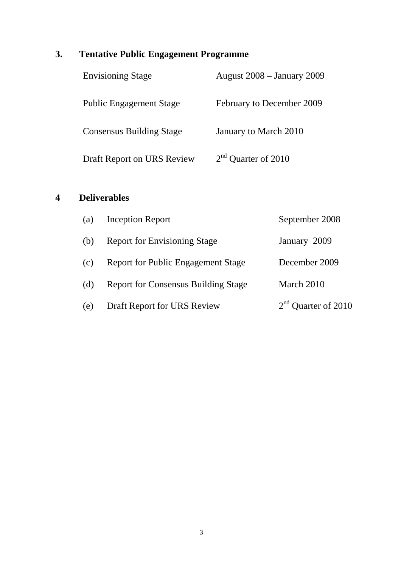# **3. Tentative Public Engagement Programme**

| <b>Envisioning Stage</b>        | <b>August 2008 – January 2009</b> |
|---------------------------------|-----------------------------------|
| <b>Public Engagement Stage</b>  | February to December 2009         |
| <b>Consensus Building Stage</b> | January to March 2010             |
| Draft Report on URS Review      | $2nd$ Quarter of 2010             |

# **4 Deliverables**

| (a) | <b>Inception Report</b>                    | September 2008        |
|-----|--------------------------------------------|-----------------------|
| (b) | <b>Report for Envisioning Stage</b>        | January 2009          |
| (c) | <b>Report for Public Engagement Stage</b>  | December 2009         |
| (d) | <b>Report for Consensus Building Stage</b> | March 2010            |
| (e) | Draft Report for URS Review                | $2nd$ Quarter of 2010 |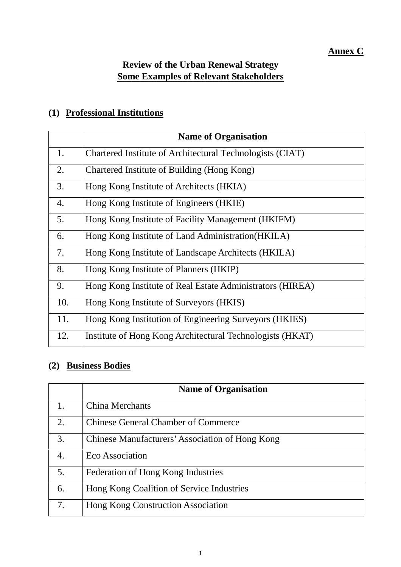# **Annex C**

# **Review of the Urban Renewal Strategy Some Examples of Relevant Stakeholders**

### **(1) Professional Institutions**

|     | <b>Name of Organisation</b>                               |
|-----|-----------------------------------------------------------|
| 1.  | Chartered Institute of Architectural Technologists (CIAT) |
| 2.  | Chartered Institute of Building (Hong Kong)               |
| 3.  | Hong Kong Institute of Architects (HKIA)                  |
| 4.  | Hong Kong Institute of Engineers (HKIE)                   |
| 5.  | Hong Kong Institute of Facility Management (HKIFM)        |
| 6.  | Hong Kong Institute of Land Administration (HKILA)        |
| 7.  | Hong Kong Institute of Landscape Architects (HKILA)       |
| 8.  | Hong Kong Institute of Planners (HKIP)                    |
| 9.  | Hong Kong Institute of Real Estate Administrators (HIREA) |
| 10. | Hong Kong Institute of Surveyors (HKIS)                   |
| 11. | Hong Kong Institution of Engineering Surveyors (HKIES)    |
| 12. | Institute of Hong Kong Architectural Technologists (HKAT) |

# **(2) Business Bodies**

|    | <b>Name of Organisation</b>                     |
|----|-------------------------------------------------|
| 1. | <b>China Merchants</b>                          |
| 2. | <b>Chinese General Chamber of Commerce</b>      |
| 3. | Chinese Manufacturers' Association of Hong Kong |
| 4. | Eco Association                                 |
| 5. | Federation of Hong Kong Industries              |
| 6. | Hong Kong Coalition of Service Industries       |
| 7. | Hong Kong Construction Association              |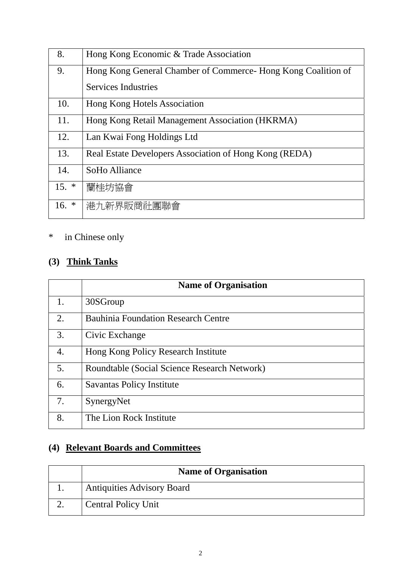| 8.      | Hong Kong Economic & Trade Association                         |
|---------|----------------------------------------------------------------|
| 9.      | Hong Kong General Chamber of Commerce - Hong Kong Coalition of |
|         | Services Industries                                            |
| 10.     | Hong Kong Hotels Association                                   |
| 11.     | Hong Kong Retail Management Association (HKRMA)                |
| 12.     | Lan Kwai Fong Holdings Ltd                                     |
| 13.     | Real Estate Developers Association of Hong Kong (REDA)         |
| 14.     | SoHo Alliance                                                  |
| $15. *$ | 蘭桂坊協會                                                          |
| 16. $*$ | 港九新界販商社團聯會                                                     |

# \* in Chinese only

# **(3) Think Tanks**

|                  | <b>Name of Organisation</b>                  |
|------------------|----------------------------------------------|
| 1.               | 30SGroup                                     |
| $\overline{2}$ . | <b>Bauhinia Foundation Research Centre</b>   |
| 3.               | Civic Exchange                               |
| 4.               | Hong Kong Policy Research Institute          |
| 5.               | Roundtable (Social Science Research Network) |
| 6.               | <b>Savantas Policy Institute</b>             |
| 7.               | SynergyNet                                   |
| 8.               | The Lion Rock Institute                      |

# **(4) Relevant Boards and Committees**

| <b>Name of Organisation</b>       |
|-----------------------------------|
| <b>Antiquities Advisory Board</b> |
| <b>Central Policy Unit</b>        |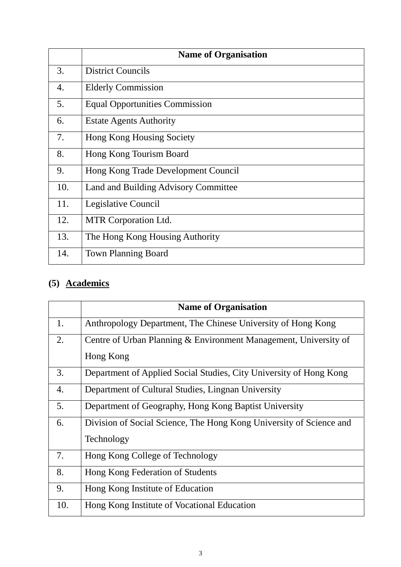|     | <b>Name of Organisation</b>           |
|-----|---------------------------------------|
| 3.  | <b>District Councils</b>              |
| 4.  | <b>Elderly Commission</b>             |
| 5.  | <b>Equal Opportunities Commission</b> |
| 6.  | <b>Estate Agents Authority</b>        |
| 7.  | Hong Kong Housing Society             |
| 8.  | Hong Kong Tourism Board               |
| 9.  | Hong Kong Trade Development Council   |
| 10. | Land and Building Advisory Committee  |
| 11. | Legislative Council                   |
| 12. | MTR Corporation Ltd.                  |
| 13. | The Hong Kong Housing Authority       |
| 14. | <b>Town Planning Board</b>            |

# **(5) Academics**

|     | <b>Name of Organisation</b>                                         |
|-----|---------------------------------------------------------------------|
| 1.  | Anthropology Department, The Chinese University of Hong Kong        |
| 2.  | Centre of Urban Planning & Environment Management, University of    |
|     | Hong Kong                                                           |
| 3.  | Department of Applied Social Studies, City University of Hong Kong  |
| 4.  | Department of Cultural Studies, Lingnan University                  |
| 5.  | Department of Geography, Hong Kong Baptist University               |
| 6.  | Division of Social Science, The Hong Kong University of Science and |
|     | Technology                                                          |
| 7.  | Hong Kong College of Technology                                     |
| 8.  | Hong Kong Federation of Students                                    |
| 9.  | Hong Kong Institute of Education                                    |
| 10. | Hong Kong Institute of Vocational Education                         |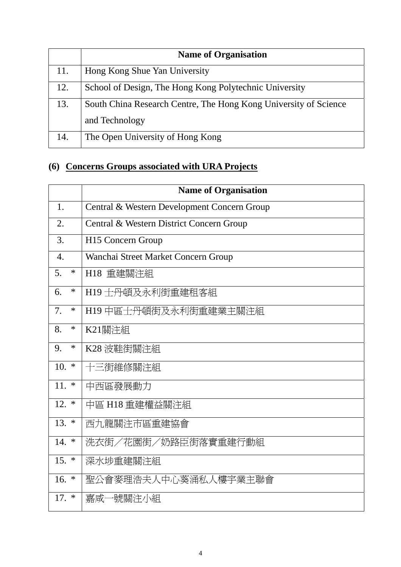|     | <b>Name of Organisation</b>                                      |
|-----|------------------------------------------------------------------|
| 11. | Hong Kong Shue Yan University                                    |
| 12. | School of Design, The Hong Kong Polytechnic University           |
| 13. | South China Research Centre, The Hong Kong University of Science |
|     | and Technology                                                   |
| 14. | The Open University of Hong Kong                                 |

# **(6) Concerns Groups associated with URA Projects**

|                  | <b>Name of Organisation</b>                 |
|------------------|---------------------------------------------|
| 1.               | Central & Western Development Concern Group |
| 2.               | Central & Western District Concern Group    |
| 3.               | H15 Concern Group                           |
| $\overline{4}$ . | Wanchai Street Market Concern Group         |
| 5.<br>$\ast$     | H18 重建關注組                                   |
| $\ast$<br>6.     | H19 士丹頓及永利街重建租客組                            |
| 7.<br>$\ast$     | H19 中區士丹頓街及永利街重建業主關注組                       |
| 8.<br>$\ast$     | K21關注組                                      |
| $\ast$<br>9.     | K28 波鞋街關注組                                  |
| 10.<br>$\ast$    | 十三街維修關注組                                    |
| $11.$ *          | 中西區發展動力                                     |
| $12.$ *          | 中區 H18 重建權益關注組                              |
| $13. *$          | 西九龍關注市區重建協會                                 |
| $14. *$          | 洗衣街/花園街/奶路臣街落實重建行動組                         |
| $15. *$          | 深水埗重建關注組                                    |
| $16. *$          | 聖公會麥理浩夫人中心葵涌私人樓宇業主聯會                        |
| $17. *$          | 嘉咸一號關注小組                                    |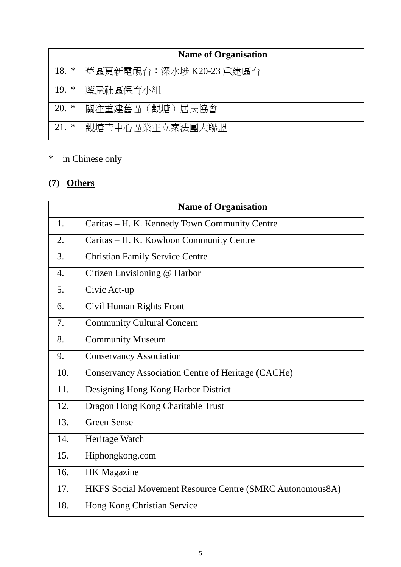|          | <b>Name of Organisation</b> |
|----------|-----------------------------|
| 18.<br>∗ | 舊區更新電視台:深水埗 K20-23 重建區台     |
| $19.$ *  | 藍屋社區保育小組                    |
| 20.<br>∗ | 關注重建舊區(觀塘)居民協會              |
| ∗<br>21. | 觀塘市中心區業主立案法團大聯盟             |

# \* in Chinese only

# **(7) Others**

|                  | <b>Name of Organisation</b>                               |
|------------------|-----------------------------------------------------------|
| $\mathbf{1}$ .   | Caritas - H. K. Kennedy Town Community Centre             |
| $\overline{2}$ . | Caritas - H. K. Kowloon Community Centre                  |
| 3.               | <b>Christian Family Service Centre</b>                    |
| $\overline{4}$ . | Citizen Envisioning @ Harbor                              |
| 5.               | Civic Act-up                                              |
| 6.               | Civil Human Rights Front                                  |
| 7.               | <b>Community Cultural Concern</b>                         |
| 8.               | <b>Community Museum</b>                                   |
| 9.               | <b>Conservancy Association</b>                            |
| 10.              | <b>Conservancy Association Centre of Heritage (CACHe)</b> |
| 11.              | Designing Hong Kong Harbor District                       |
| 12.              | Dragon Hong Kong Charitable Trust                         |
| 13.              | <b>Green Sense</b>                                        |
| 14.              | Heritage Watch                                            |
| 15.              | Hiphongkong.com                                           |
| 16.              | <b>HK</b> Magazine                                        |
| 17.              | HKFS Social Movement Resource Centre (SMRC Autonomous8A)  |
| 18.              | Hong Kong Christian Service                               |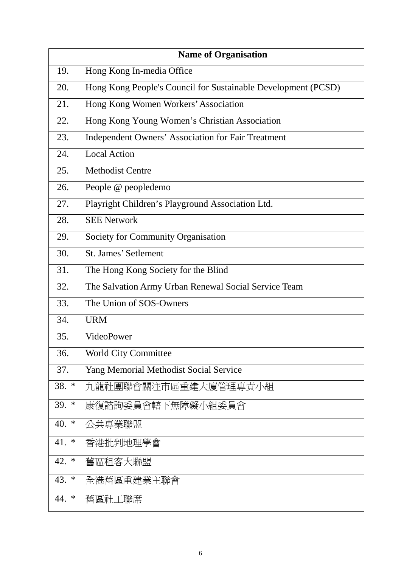|               | <b>Name of Organisation</b>                                   |
|---------------|---------------------------------------------------------------|
| 19.           | Hong Kong In-media Office                                     |
| 20.           | Hong Kong People's Council for Sustainable Development (PCSD) |
| 21.           | Hong Kong Women Workers' Association                          |
| 22.           | Hong Kong Young Women's Christian Association                 |
| 23.           | Independent Owners' Association for Fair Treatment            |
| 24.           | <b>Local Action</b>                                           |
| 25.           | <b>Methodist Centre</b>                                       |
| 26.           | People @ peopledemo                                           |
| 27.           | Playright Children's Playground Association Ltd.              |
| 28.           | <b>SEE Network</b>                                            |
| 29.           | Society for Community Organisation                            |
| 30.           | <b>St. James' Setlement</b>                                   |
| 31.           | The Hong Kong Society for the Blind                           |
| 32.           | The Salvation Army Urban Renewal Social Service Team          |
| 33.           | The Union of SOS-Owners                                       |
| 34.           | <b>URM</b>                                                    |
| 35.           | VideoPower                                                    |
| 36.           | <b>World City Committee</b>                                   |
| 37.           | Yang Memorial Methodist Social Service                        |
| 38. *         | 九龍社團聯會關注市區重建大廈管理專責小組                                          |
| $39. *$       | 康復諮詢委員會轄下無障礙小組委員會                                             |
| 40. $*$       | 公共專業聯盟                                                        |
| 41.<br>$\ast$ | 香港批判地理學會                                                      |
| 42. $*$       | 舊區租客大聯盟                                                       |
| 43. $*$       | 全港舊區重建業主聯會                                                    |
| 44. *         | 舊區社工聯席                                                        |